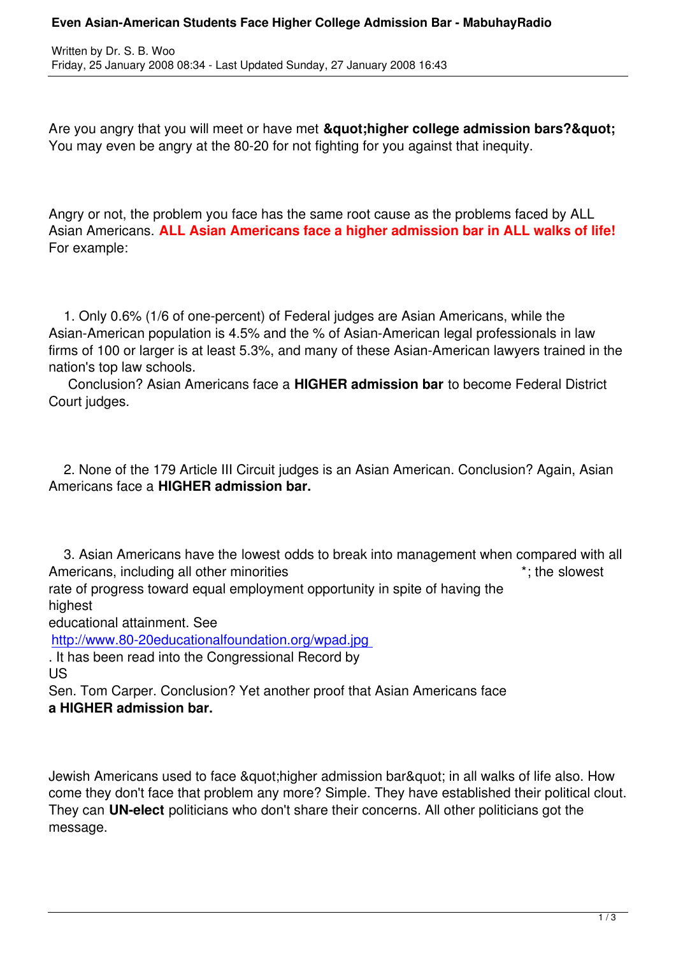Written by Dr. S. B. Wood, and the Dr. S. Wood, and the Dr. S. Wood, and the Dr. S. S. Wood, and the Dr. S. Wood, and

Are you angry that you will meet or have met **"higher college admission bars?"** You may even be angry at the 80-20 for not fighting for you against that inequity.

Angry or not, the problem you face has the same root cause as the problems faced by ALL Asian Americans. **ALL Asian Americans face a higher admission bar in ALL walks of life!** For example:

 1. Only 0.6% (1/6 of one-percent) of Federal judges are Asian Americans, while the Asian-American population is 4.5% and the % of Asian-American legal professionals in law firms of 100 or larger is at least 5.3%, and many of these Asian-American lawyers trained in the nation's top law schools.

 Conclusion? Asian Americans face a **HIGHER admission bar** to become Federal District Court judges.

 2. None of the 179 Article III Circuit judges is an Asian American. Conclusion? Again, Asian Americans face a **HIGHER admission bar.**

 3. Asian Americans have the lowest odds to break into management when compared with all Americans, including all other minorities the state of the slowest the slowest rate of progress toward equal employment opportunity in spite of having the highest educational attainment. See http://www.80-20educationalfoundation.org/wpad.jpg . It has been read into the Congressional Record by US

[Sen. Tom Carper. Conclusion? Yet another proof that](http://www.80-20educationalfoundation.org/wpad.jpg) Asian Americans face **a HIGHER admission bar.**

Jewish Americans used to face "higher admission bar" in all walks of life also. How come they don't face that problem any more? Simple. They have established their political clout. They can **UN-elect** politicians who don't share their concerns. All other politicians got the message.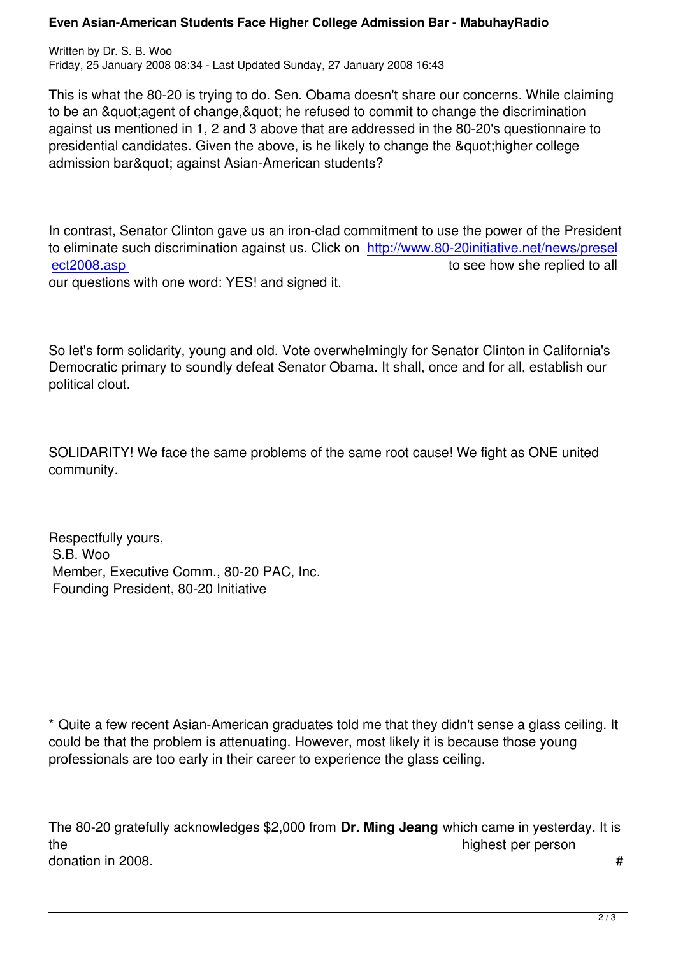This is what the 80-20 is trying to do. Sen. Obama doesn't share our concerns. While claiming to be an & quot; agent of change, & quot; he refused to commit to change the discrimination against us mentioned in 1, 2 and 3 above that are addressed in the 80-20's questionnaire to presidential candidates. Given the above, is he likely to change the " higher college admission bar" against Asian-American students?

In contrast, Senator Clinton gave us an iron-clad commitment to use the power of the President to eliminate such discrimination against us. Click on http://www.80-20initiative.net/news/presel ect2008.asp ect2008.asp our questions with one word: YES! and signed it.

So let's form solidarity, young and old. Vote overwhelmingly for Senator Clinton in California's Democratic primary to soundly defeat Senator Obama. It shall, once and for all, establish our political clout.

SOLIDARITY! We face the same problems of the same root cause! We fight as ONE united community.

Respectfully yours, S.B. Woo Member, Executive Comm., 80-20 PAC, Inc. Founding President, 80-20 Initiative

\* Quite a few recent Asian-American graduates told me that they didn't sense a glass ceiling. It could be that the problem is attenuating. However, most likely it is because those young professionals are too early in their career to experience the glass ceiling.

The 80-20 gratefully acknowledges \$2,000 from **Dr. Ming Jeang** which came in yesterday. It is the highest per person and the highest per person in the highest per person donation in 2008.  $\sharp$